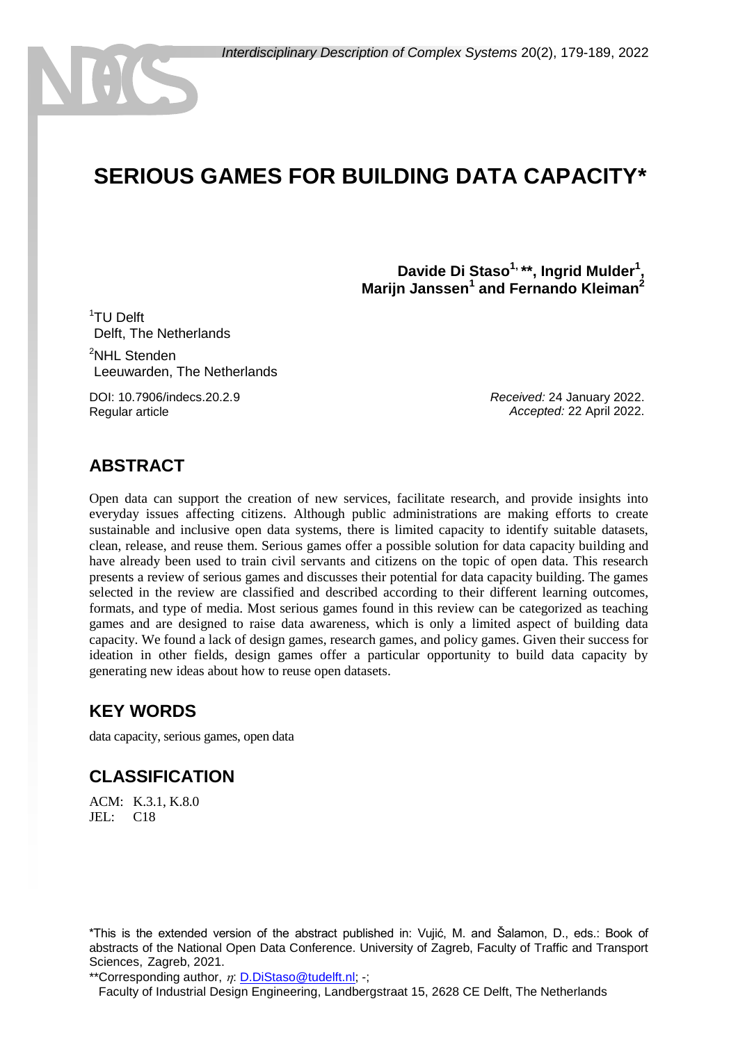# **SERIOUS GAMES FOR BUILDING DATA CAPACITY\***

**Davide Di Staso1, \*\*, Ingrid Mulder<sup>1</sup> , Marijn Janssen<sup>1</sup> and Fernando Kleiman<sup>2</sup>**

<sup>1</sup>TU Delft Delft. The Netherlands <sup>2</sup>NHL Stenden Leeuwarden, The Netherlands

DOI: 10.7906/indecs.20.2.9 Regular article

*Received:* 24 January 2022. *Accepted:* 22 April 2022.

#### **ABSTRACT**

Open data can support the creation of new services, facilitate research, and provide insights into everyday issues affecting citizens. Although public administrations are making efforts to create sustainable and inclusive open data systems, there is limited capacity to identify suitable datasets, clean, release, and reuse them. Serious games offer a possible solution for data capacity building and have already been used to train civil servants and citizens on the topic of open data. This research presents a review of serious games and discusses their potential for data capacity building. The games selected in the review are classified and described according to their different learning outcomes, formats, and type of media. Most serious games found in this review can be categorized as teaching games and are designed to raise data awareness, which is only a limited aspect of building data capacity. We found a lack of design games, research games, and policy games. Given their success for ideation in other fields, design games offer a particular opportunity to build data capacity by generating new ideas about how to reuse open datasets.

#### **KEY WORDS**

data capacity, serious games, open data

### **CLASSIFICATION**

ACM: K.3.1, K.8.0 JEL: C18

\*This is the extended version of the abstract published in: Vujić, M. and Šalamon, D., eds.: Book of abstracts of the National Open Data Conference. University of Zagreb, Faculty of Traffic and Transport Sciences, Zagreb, 2021.

\*\*Corresponding author,  $\eta$ : [D.DiStaso@tudelft.nl;](mailto:D.DiStaso@tudelft.nl) -;

Faculty of Industrial Design Engineering, Landbergstraat 15, 2628 CE Delft, The Netherlands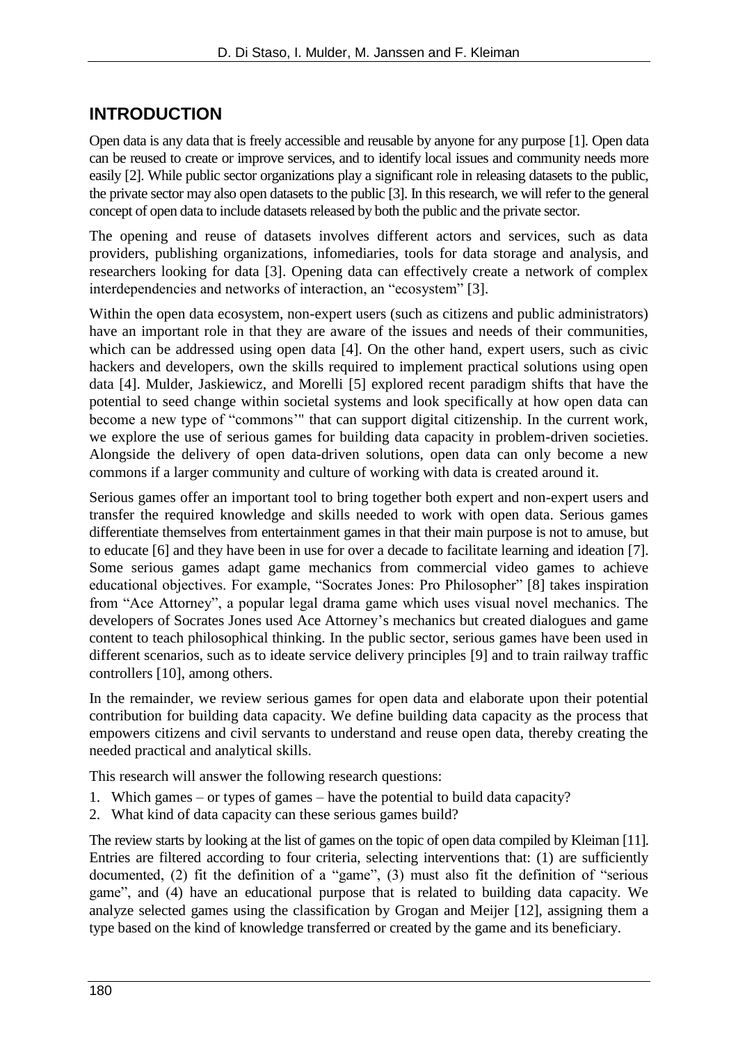### **INTRODUCTION**

Open data is any data that is freely accessible and reusable by anyone for any purpose [1]. Open data can be reused to create or improve services, and to identify local issues and community needs more easily [2]. While public sector organizations play a significant role in releasing datasets to the public, the private sector may also open datasets to the public [3]. In this research, we will refer to the general concept of open data to include datasets released by both the public and the private sector.

The opening and reuse of datasets involves different actors and services, such as data providers, publishing organizations, infomediaries, tools for data storage and analysis, and researchers looking for data [3]. Opening data can effectively create a network of complex interdependencies and networks of interaction, an "ecosystem" [3].

Within the open data ecosystem, non-expert users (such as citizens and public administrators) have an important role in that they are aware of the issues and needs of their communities, which can be addressed using open data [4]. On the other hand, expert users, such as civic hackers and developers, own the skills required to implement practical solutions using open data [4]. Mulder, Jaskiewicz, and Morelli [5] explored recent paradigm shifts that have the potential to seed change within societal systems and look specifically at how open data can become a new type of "commons'" that can support digital citizenship. In the current work, we explore the use of serious games for building data capacity in problem-driven societies. Alongside the delivery of open data-driven solutions, open data can only become a new commons if a larger community and culture of working with data is created around it.

Serious games offer an important tool to bring together both expert and non-expert users and transfer the required knowledge and skills needed to work with open data. Serious games differentiate themselves from entertainment games in that their main purpose is not to amuse, but to educate [6] and they have been in use for over a decade to facilitate learning and ideation [7]. Some serious games adapt game mechanics from commercial video games to achieve educational objectives. For example, "Socrates Jones: Pro Philosopher" [8] takes inspiration from "Ace Attorney", a popular legal drama game which uses visual novel mechanics. The developers of Socrates Jones used Ace Attorney's mechanics but created dialogues and game content to teach philosophical thinking. In the public sector, serious games have been used in different scenarios, such as to ideate service delivery principles [9] and to train railway traffic controllers [10], among others.

In the remainder, we review serious games for open data and elaborate upon their potential contribution for building data capacity. We define building data capacity as the process that empowers citizens and civil servants to understand and reuse open data, thereby creating the needed practical and analytical skills.

This research will answer the following research questions:

- 1. Which games or types of games have the potential to build data capacity?
- 2. What kind of data capacity can these serious games build?

The review starts by looking at the list of games on the topic of open data compiled by Kleiman [11]. Entries are filtered according to four criteria, selecting interventions that: (1) are sufficiently documented, (2) fit the definition of a "game", (3) must also fit the definition of "serious game", and (4) have an educational purpose that is related to building data capacity. We analyze selected games using the classification by Grogan and Meijer [12], assigning them a type based on the kind of knowledge transferred or created by the game and its beneficiary.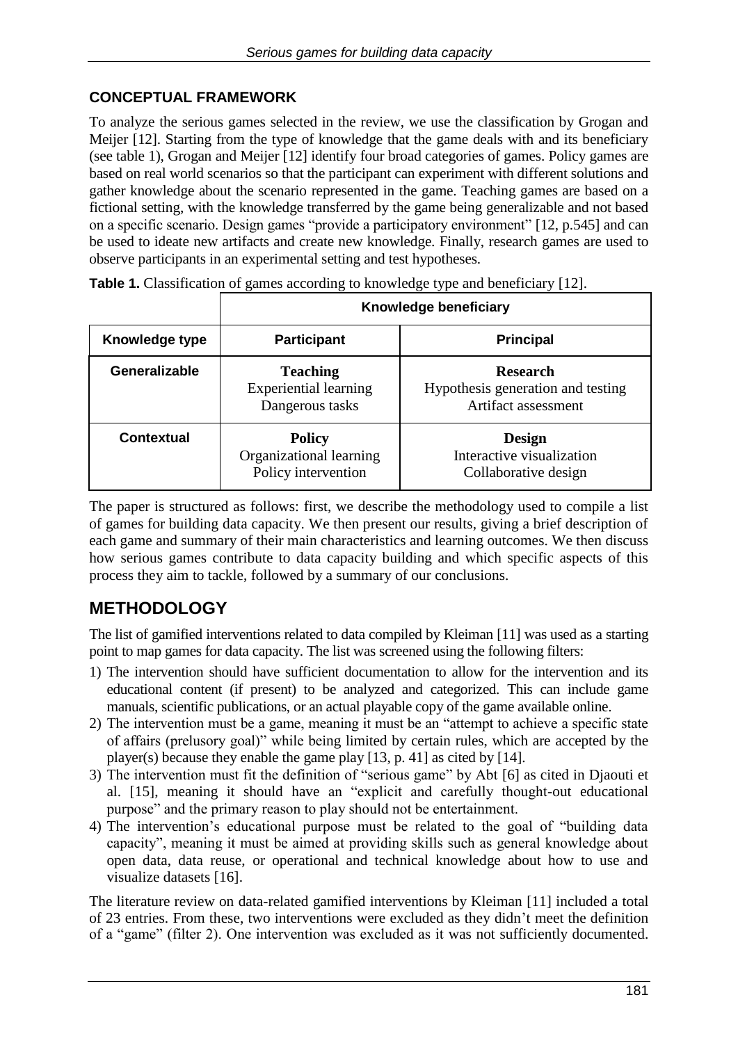#### **CONCEPTUAL FRAMEWORK**

To analyze the serious games selected in the review, we use the classification by Grogan and Meijer [12]. Starting from the type of knowledge that the game deals with and its beneficiary (see table 1), Grogan and Meijer [12] identify four broad categories of games. Policy games are based on real world scenarios so that the participant can experiment with different solutions and gather knowledge about the scenario represented in the game. Teaching games are based on a fictional setting, with the knowledge transferred by the game being generalizable and not based on a specific scenario. Design games "provide a participatory environment" [12, p.545] and can be used to ideate new artifacts and create new knowledge. Finally, research games are used to observe participants in an experimental setting and test hypotheses.

|                      | Knowledge beneficiary                                              |                                                                             |  |
|----------------------|--------------------------------------------------------------------|-----------------------------------------------------------------------------|--|
| Knowledge type       | <b>Participant</b>                                                 | <b>Principal</b>                                                            |  |
| <b>Generalizable</b> | <b>Teaching</b><br><b>Experiential learning</b><br>Dangerous tasks | <b>Research</b><br>Hypothesis generation and testing<br>Artifact assessment |  |
| <b>Contextual</b>    | <b>Policy</b><br>Organizational learning<br>Policy intervention    | <b>Design</b><br>Interactive visualization<br>Collaborative design          |  |

**Table 1.** Classification of games according to knowledge type and beneficiary [12].

The paper is structured as follows: first, we describe the methodology used to compile a list of games for building data capacity. We then present our results, giving a brief description of each game and summary of their main characteristics and learning outcomes. We then discuss how serious games contribute to data capacity building and which specific aspects of this process they aim to tackle, followed by a summary of our conclusions.

## **METHODOLOGY**

The list of gamified interventions related to data compiled by Kleiman [11] was used as a starting point to map games for data capacity. The list was screened using the following filters:

- 1) The intervention should have sufficient documentation to allow for the intervention and its educational content (if present) to be analyzed and categorized. This can include game manuals, scientific publications, or an actual playable copy of the game available online.
- 2) The intervention must be a game, meaning it must be an "attempt to achieve a specific state of affairs (prelusory goal)" while being limited by certain rules, which are accepted by the player(s) because they enable the game play [13, p. 41] as cited by [14].
- 3) The intervention must fit the definition of "serious game" by Abt [6] as cited in Djaouti et al. [15], meaning it should have an "explicit and carefully thought-out educational purpose" and the primary reason to play should not be entertainment.
- 4) The intervention's educational purpose must be related to the goal of "building data capacity", meaning it must be aimed at providing skills such as general knowledge about open data, data reuse, or operational and technical knowledge about how to use and visualize datasets [16].

The literature review on data-related gamified interventions by Kleiman [11] included a total of 23 entries. From these, two interventions were excluded as they didn't meet the definition of a "game" (filter 2). One intervention was excluded as it was not sufficiently documented.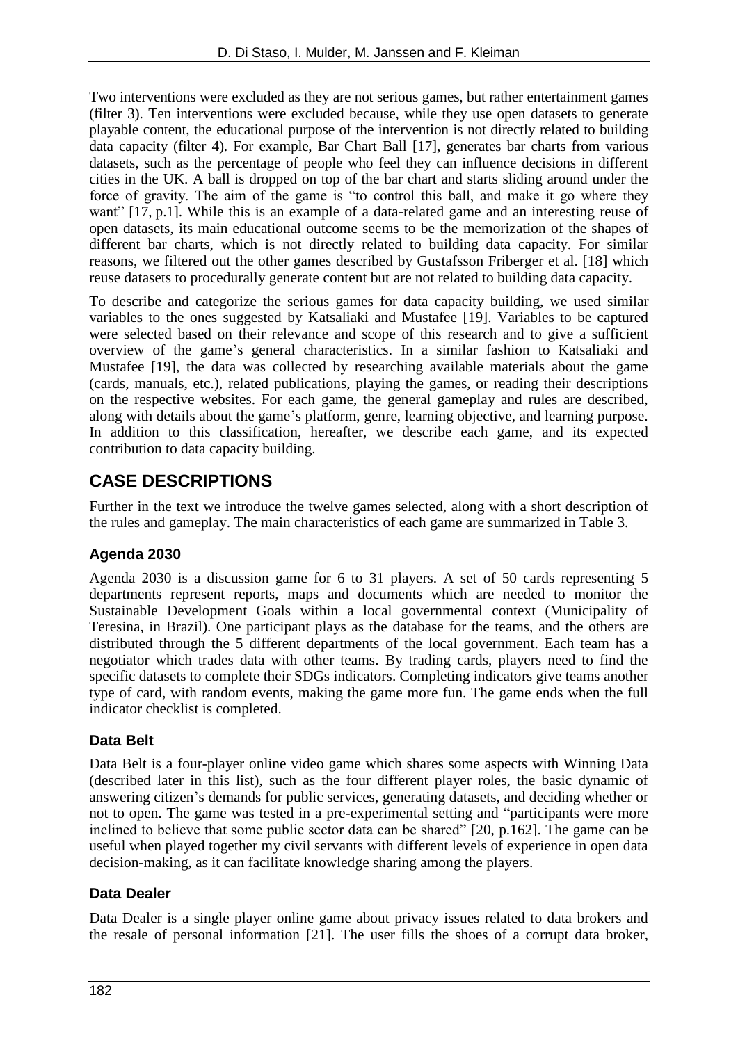Two interventions were excluded as they are not serious games, but rather entertainment games (filter 3). Ten interventions were excluded because, while they use open datasets to generate playable content, the educational purpose of the intervention is not directly related to building data capacity (filter 4). For example, Bar Chart Ball [17], generates bar charts from various datasets, such as the percentage of people who feel they can influence decisions in different cities in the UK. A ball is dropped on top of the bar chart and starts sliding around under the force of gravity. The aim of the game is "to control this ball, and make it go where they want" [17, p.1]. While this is an example of a data-related game and an interesting reuse of open datasets, its main educational outcome seems to be the memorization of the shapes of different bar charts, which is not directly related to building data capacity. For similar reasons, we filtered out the other games described by Gustafsson Friberger et al. [18] which reuse datasets to procedurally generate content but are not related to building data capacity.

To describe and categorize the serious games for data capacity building, we used similar variables to the ones suggested by Katsaliaki and Mustafee [19]. Variables to be captured were selected based on their relevance and scope of this research and to give a sufficient overview of the game's general characteristics. In a similar fashion to Katsaliaki and Mustafee [19], the data was collected by researching available materials about the game (cards, manuals, etc.), related publications, playing the games, or reading their descriptions on the respective websites. For each game, the general gameplay and rules are described, along with details about the game's platform, genre, learning objective, and learning purpose. In addition to this classification, hereafter, we describe each game, and its expected contribution to data capacity building.

### **CASE DESCRIPTIONS**

Further in the text we introduce the twelve games selected, along with a short description of the rules and gameplay. The main characteristics of each game are summarized in Table 3.

#### **Agenda 2030**

Agenda 2030 is a discussion game for 6 to 31 players. A set of 50 cards representing 5 departments represent reports, maps and documents which are needed to monitor the Sustainable Development Goals within a local governmental context (Municipality of Teresina, in Brazil). One participant plays as the database for the teams, and the others are distributed through the 5 different departments of the local government. Each team has a negotiator which trades data with other teams. By trading cards, players need to find the specific datasets to complete their SDGs indicators. Completing indicators give teams another type of card, with random events, making the game more fun. The game ends when the full indicator checklist is completed.

#### **Data Belt**

Data Belt is a four-player online video game which shares some aspects with Winning Data (described later in this list), such as the four different player roles, the basic dynamic of answering citizen's demands for public services, generating datasets, and deciding whether or not to open. The game was tested in a pre-experimental setting and "participants were more inclined to believe that some public sector data can be shared" [20, p.162]. The game can be useful when played together my civil servants with different levels of experience in open data decision-making, as it can facilitate knowledge sharing among the players.

#### **Data Dealer**

Data Dealer is a single player online game about privacy issues related to data brokers and the resale of personal information [21]. The user fills the shoes of a corrupt data broker,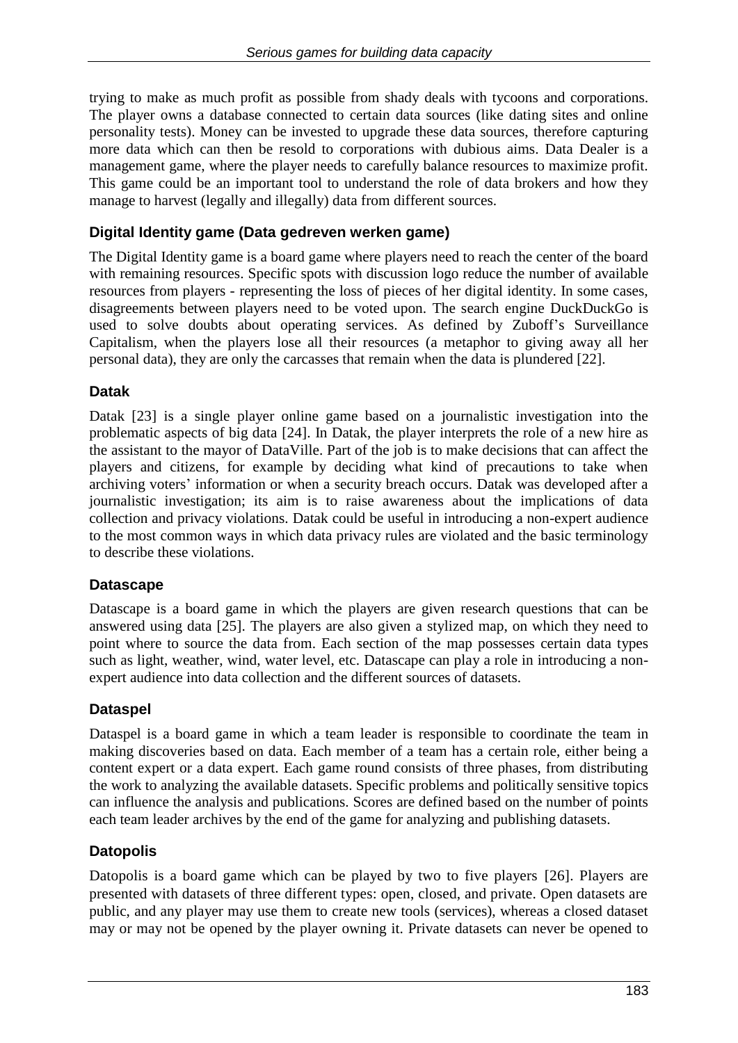trying to make as much profit as possible from shady deals with tycoons and corporations. The player owns a database connected to certain data sources (like dating sites and online personality tests). Money can be invested to upgrade these data sources, therefore capturing more data which can then be resold to corporations with dubious aims. Data Dealer is a management game, where the player needs to carefully balance resources to maximize profit. This game could be an important tool to understand the role of data brokers and how they manage to harvest (legally and illegally) data from different sources.

#### **Digital Identity game (Data gedreven werken game)**

The Digital Identity game is a board game where players need to reach the center of the board with remaining resources. Specific spots with discussion logo reduce the number of available resources from players - representing the loss of pieces of her digital identity. In some cases, disagreements between players need to be voted upon. The search engine DuckDuckGo is used to solve doubts about operating services. As defined by Zuboff's Surveillance Capitalism, when the players lose all their resources (a metaphor to giving away all her personal data), they are only the carcasses that remain when the data is plundered [22].

#### **Datak**

Datak [23] is a single player online game based on a journalistic investigation into the problematic aspects of big data [24]. In Datak, the player interprets the role of a new hire as the assistant to the mayor of DataVille. Part of the job is to make decisions that can affect the players and citizens, for example by deciding what kind of precautions to take when archiving voters' information or when a security breach occurs. Datak was developed after a journalistic investigation; its aim is to raise awareness about the implications of data collection and privacy violations. Datak could be useful in introducing a non-expert audience to the most common ways in which data privacy rules are violated and the basic terminology to describe these violations.

#### **Datascape**

Datascape is a board game in which the players are given research questions that can be answered using data [25]. The players are also given a stylized map, on which they need to point where to source the data from. Each section of the map possesses certain data types such as light, weather, wind, water level, etc. Datascape can play a role in introducing a nonexpert audience into data collection and the different sources of datasets.

#### **Dataspel**

Dataspel is a board game in which a team leader is responsible to coordinate the team in making discoveries based on data. Each member of a team has a certain role, either being a content expert or a data expert. Each game round consists of three phases, from distributing the work to analyzing the available datasets. Specific problems and politically sensitive topics can influence the analysis and publications. Scores are defined based on the number of points each team leader archives by the end of the game for analyzing and publishing datasets.

#### **Datopolis**

Datopolis is a board game which can be played by two to five players [26]. Players are presented with datasets of three different types: open, closed, and private. Open datasets are public, and any player may use them to create new tools (services), whereas a closed dataset may or may not be opened by the player owning it. Private datasets can never be opened to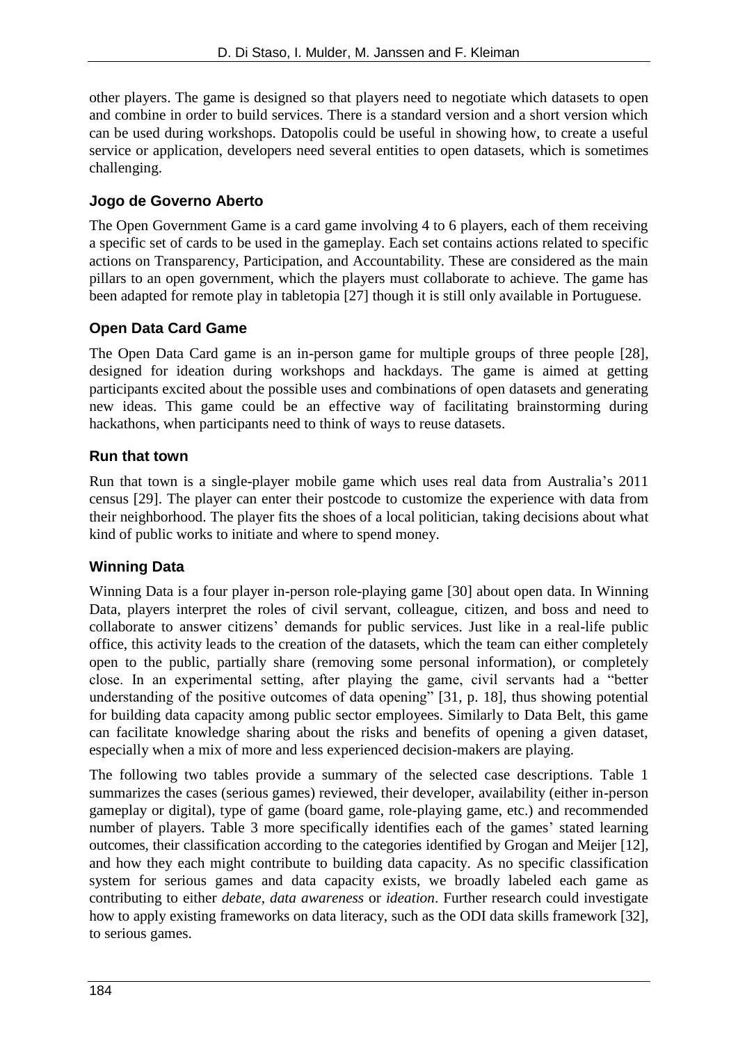other players. The game is designed so that players need to negotiate which datasets to open and combine in order to build services. There is a standard version and a short version which can be used during workshops. Datopolis could be useful in showing how, to create a useful service or application, developers need several entities to open datasets, which is sometimes challenging.

#### **Jogo de Governo Aberto**

The Open Government Game is a card game involving 4 to 6 players, each of them receiving a specific set of cards to be used in the gameplay. Each set contains actions related to specific actions on Transparency, Participation, and Accountability. These are considered as the main pillars to an open government, which the players must collaborate to achieve. The game has been adapted for remote play in tabletopia [27] though it is still only available in Portuguese.

#### **Open Data Card Game**

The Open Data Card game is an in-person game for multiple groups of three people [28], designed for ideation during workshops and hackdays. The game is aimed at getting participants excited about the possible uses and combinations of open datasets and generating new ideas. This game could be an effective way of facilitating brainstorming during hackathons, when participants need to think of ways to reuse datasets.

#### **Run that town**

Run that town is a single-player mobile game which uses real data from Australia's 2011 census [29]. The player can enter their postcode to customize the experience with data from their neighborhood. The player fits the shoes of a local politician, taking decisions about what kind of public works to initiate and where to spend money.

#### **Winning Data**

Winning Data is a four player in-person role-playing game [30] about open data. In Winning Data, players interpret the roles of civil servant, colleague, citizen, and boss and need to collaborate to answer citizens' demands for public services. Just like in a real-life public office, this activity leads to the creation of the datasets, which the team can either completely open to the public, partially share (removing some personal information), or completely close. In an experimental setting, after playing the game, civil servants had a "better understanding of the positive outcomes of data opening" [31, p. 18], thus showing potential for building data capacity among public sector employees. Similarly to Data Belt, this game can facilitate knowledge sharing about the risks and benefits of opening a given dataset, especially when a mix of more and less experienced decision-makers are playing.

The following two tables provide a summary of the selected case descriptions. Table 1 summarizes the cases (serious games) reviewed, their developer, availability (either in-person gameplay or digital), type of game (board game, role-playing game, etc.) and recommended number of players. Table 3 more specifically identifies each of the games' stated learning outcomes, their classification according to the categories identified by Grogan and Meijer [12], and how they each might contribute to building data capacity. As no specific classification system for serious games and data capacity exists, we broadly labeled each game as contributing to either *debate*, *data awareness* or *ideation*. Further research could investigate how to apply existing frameworks on data literacy, such as the ODI data skills framework [32], to serious games.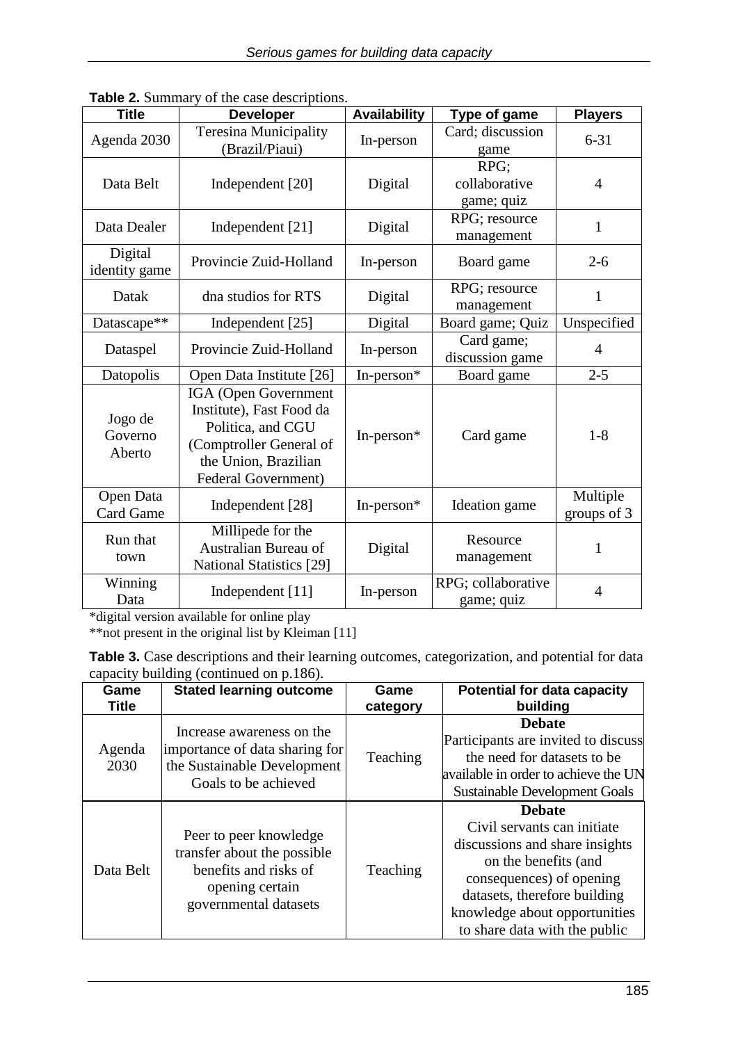| <b>Title</b>                  | <b>Developer</b>                                                                                                                                | <b>Availability</b> | Type of game                        | <b>Players</b>          |
|-------------------------------|-------------------------------------------------------------------------------------------------------------------------------------------------|---------------------|-------------------------------------|-------------------------|
| Agenda 2030                   | <b>Teresina Municipality</b><br>(Brazil/Piaui)                                                                                                  | In-person           | Card; discussion<br>game            | $6 - 31$                |
| Data Belt                     | Independent [20]                                                                                                                                | Digital             | RPG:<br>collaborative<br>game; quiz | $\overline{4}$          |
| Data Dealer                   | Independent [21]                                                                                                                                | Digital             | RPG; resource<br>management         | $\mathbf{1}$            |
| Digital<br>identity game      | Provincie Zuid-Holland                                                                                                                          | In-person           | Board game                          | $2 - 6$                 |
| Datak                         | dna studios for RTS                                                                                                                             | Digital             | RPG; resource<br>management         | 1                       |
| Datascape**                   | Independent [25]                                                                                                                                | Digital             | Board game; Quiz                    | Unspecified             |
| Dataspel                      | Provincie Zuid-Holland                                                                                                                          | In-person           | Card game;<br>discussion game       | 4                       |
| Datopolis                     | Open Data Institute [26]                                                                                                                        | In-person*          | Board game                          | $2 - 5$                 |
| Jogo de<br>Governo<br>Aberto  | IGA (Open Government<br>Institute), Fast Food da<br>Politica, and CGU<br>(Comptroller General of<br>the Union, Brazilian<br>Federal Government) | In-person $*$       | Card game                           | $1 - 8$                 |
| Open Data<br><b>Card Game</b> | Independent [28]                                                                                                                                | In-person*          | Ideation game                       | Multiple<br>groups of 3 |
| Run that<br>town              | Millipede for the<br>Australian Bureau of<br><b>National Statistics</b> [29]                                                                    | Digital             | Resource<br>management              | 1                       |
| Winning<br>Data               | Independent [11]                                                                                                                                | In-person           | RPG; collaborative<br>game; quiz    | $\overline{4}$          |

**Table 2.** Summary of the case descriptions.

\*digital version available for online play

\*\*not present in the original list by Kleiman [11]

| <b>Table 3.</b> Case descriptions and their learning outcomes, categorization, and potential for data |  |
|-------------------------------------------------------------------------------------------------------|--|
| capacity building (continued on p.186).                                                               |  |

| Game<br><b>Title</b> | <b>Stated learning outcome</b>                                                                                             | Game<br>category | <b>Potential for data capacity</b><br>building                                                                                                                                                                                       |
|----------------------|----------------------------------------------------------------------------------------------------------------------------|------------------|--------------------------------------------------------------------------------------------------------------------------------------------------------------------------------------------------------------------------------------|
| Agenda<br>2030       | Increase awareness on the<br>importance of data sharing for<br>the Sustainable Development<br>Goals to be achieved         | Teaching         | <b>Debate</b><br>Participants are invited to discuss<br>the need for datasets to be<br>available in order to achieve the UN<br><b>Sustainable Development Goals</b>                                                                  |
| Data Belt            | Peer to peer knowledge<br>transfer about the possible<br>benefits and risks of<br>opening certain<br>governmental datasets | Teaching         | <b>Debate</b><br>Civil servants can initiate<br>discussions and share insights<br>on the benefits (and<br>consequences) of opening<br>datasets, therefore building<br>knowledge about opportunities<br>to share data with the public |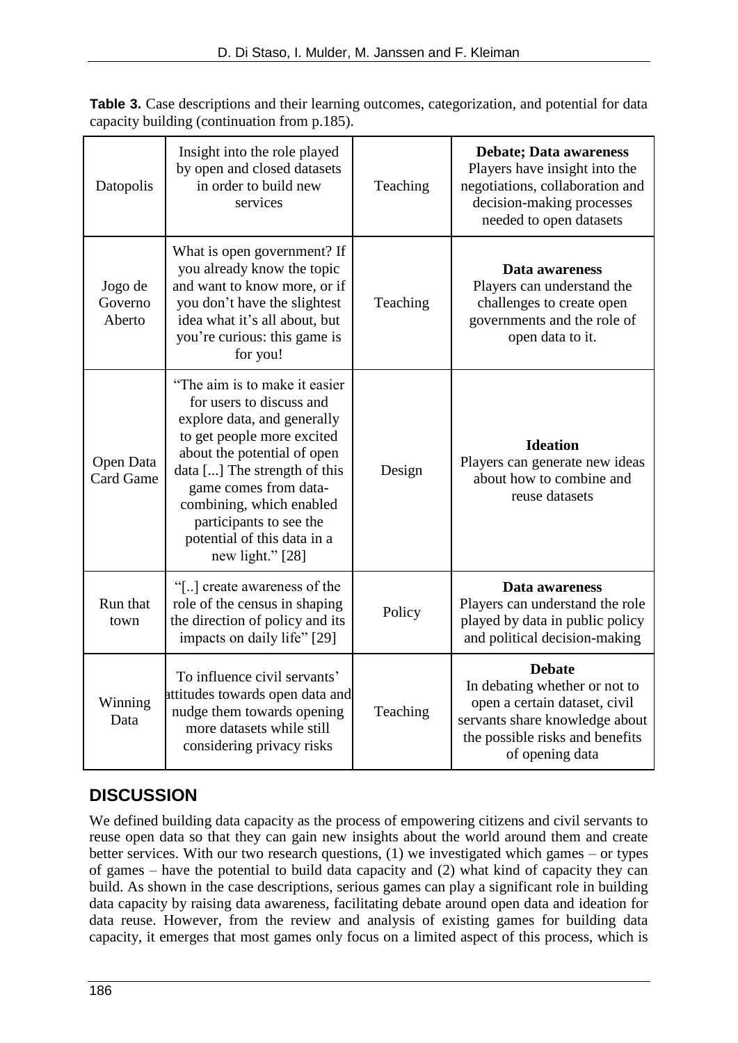| Datopolis                     | Insight into the role played<br>by open and closed datasets<br>in order to build new<br>services                                                                                                                                                                                                                          | Teaching | <b>Debate; Data awareness</b><br>Players have insight into the<br>negotiations, collaboration and<br>decision-making processes<br>needed to open datasets               |
|-------------------------------|---------------------------------------------------------------------------------------------------------------------------------------------------------------------------------------------------------------------------------------------------------------------------------------------------------------------------|----------|-------------------------------------------------------------------------------------------------------------------------------------------------------------------------|
| Jogo de<br>Governo<br>Aberto  | What is open government? If<br>you already know the topic<br>and want to know more, or if<br>you don't have the slightest<br>idea what it's all about, but<br>you're curious: this game is<br>for you!                                                                                                                    | Teaching | Data awareness<br>Players can understand the<br>challenges to create open<br>governments and the role of<br>open data to it.                                            |
| Open Data<br><b>Card Game</b> | "The aim is to make it easier"<br>for users to discuss and<br>explore data, and generally<br>to get people more excited<br>about the potential of open<br>data [] The strength of this<br>game comes from data-<br>combining, which enabled<br>participants to see the<br>potential of this data in a<br>new light." [28] | Design   | <b>Ideation</b><br>Players can generate new ideas<br>about how to combine and<br>reuse datasets                                                                         |
| Run that<br>town              | "[] create awareness of the<br>role of the census in shaping<br>the direction of policy and its<br>impacts on daily life" [29]                                                                                                                                                                                            | Policy   | Data awareness<br>Players can understand the role<br>played by data in public policy<br>and political decision-making                                                   |
| Winning<br>Data               | To influence civil servants'<br>attitudes towards open data and<br>nudge them towards opening<br>more datasets while still<br>considering privacy risks                                                                                                                                                                   | Teaching | <b>Debate</b><br>In debating whether or not to<br>open a certain dataset, civil<br>servants share knowledge about<br>the possible risks and benefits<br>of opening data |

Table 3. Case descriptions and their learning outcomes, categorization, and potential for data capacity building (continuation from p.185).

## **DISCUSSION**

We defined building data capacity as the process of empowering citizens and civil servants to reuse open data so that they can gain new insights about the world around them and create better services. With our two research questions, (1) we investigated which games – or types of games – have the potential to build data capacity and (2) what kind of capacity they can build. As shown in the case descriptions, serious games can play a significant role in building data capacity by raising data awareness, facilitating debate around open data and ideation for data reuse. However, from the review and analysis of existing games for building data capacity, it emerges that most games only focus on a limited aspect of this process, which is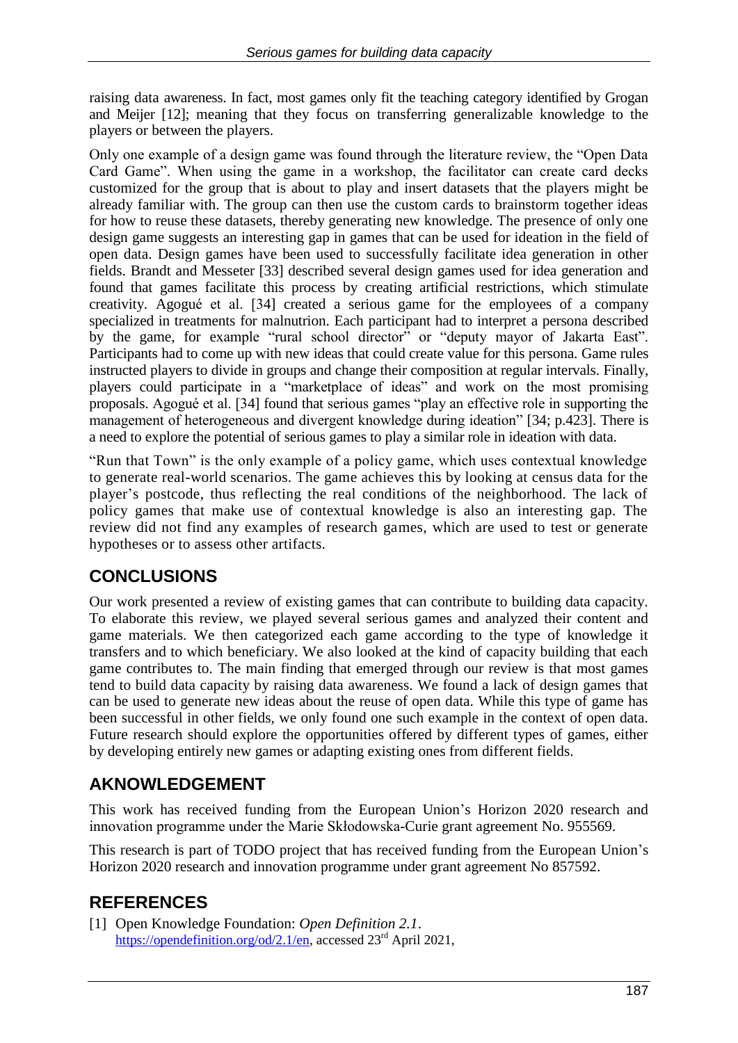raising data awareness. In fact, most games only fit the teaching category identified by Grogan and Meijer [12]; meaning that they focus on transferring generalizable knowledge to the players or between the players.

Only one example of a design game was found through the literature review, the "Open Data Card Game". When using the game in a workshop, the facilitator can create card decks customized for the group that is about to play and insert datasets that the players might be already familiar with. The group can then use the custom cards to brainstorm together ideas for how to reuse these datasets, thereby generating new knowledge. The presence of only one design game suggests an interesting gap in games that can be used for ideation in the field of open data. Design games have been used to successfully facilitate idea generation in other fields. Brandt and Messeter [33] described several design games used for idea generation and found that games facilitate this process by creating artificial restrictions, which stimulate creativity. Agogué et al. [34] created a serious game for the employees of a company specialized in treatments for malnutrion. Each participant had to interpret a persona described by the game, for example "rural school director" or "deputy mayor of Jakarta East". Participants had to come up with new ideas that could create value for this persona. Game rules instructed players to divide in groups and change their composition at regular intervals. Finally, players could participate in a "marketplace of ideas" and work on the most promising proposals. Agogué et al. [34] found that serious games "play an effective role in supporting the management of heterogeneous and divergent knowledge during ideation" [34; p.423]. There is a need to explore the potential of serious games to play a similar role in ideation with data.

"Run that Town" is the only example of a policy game, which uses contextual knowledge to generate real-world scenarios. The game achieves this by looking at census data for the player's postcode, thus reflecting the real conditions of the neighborhood. The lack of policy games that make use of contextual knowledge is also an interesting gap. The review did not find any examples of research games, which are used to test or generate hypotheses or to assess other artifacts.

## **CONCLUSIONS**

Our work presented a review of existing games that can contribute to building data capacity. To elaborate this review, we played several serious games and analyzed their content and game materials. We then categorized each game according to the type of knowledge it transfers and to which beneficiary. We also looked at the kind of capacity building that each game contributes to. The main finding that emerged through our review is that most games tend to build data capacity by raising data awareness. We found a lack of design games that can be used to generate new ideas about the reuse of open data. While this type of game has been successful in other fields, we only found one such example in the context of open data. Future research should explore the opportunities offered by different types of games, either by developing entirely new games or adapting existing ones from different fields.

### **AKNOWLEDGEMENT**

This work has received funding from the European Union's Horizon 2020 research and innovation programme under the Marie Skłodowska-Curie grant agreement No. 955569.

This research is part of TODO project that has received funding from the European Union's Horizon 2020 research and innovation programme under grant agreement No 857592.

## **REFERENCES**

[1] Open Knowledge Foundation: *Open Definition 2.1*. [https://opendefinition.org/od/2.1/en,](https://opendefinition.org/od/2.1/en) accessed 23<sup>rd</sup> April 2021,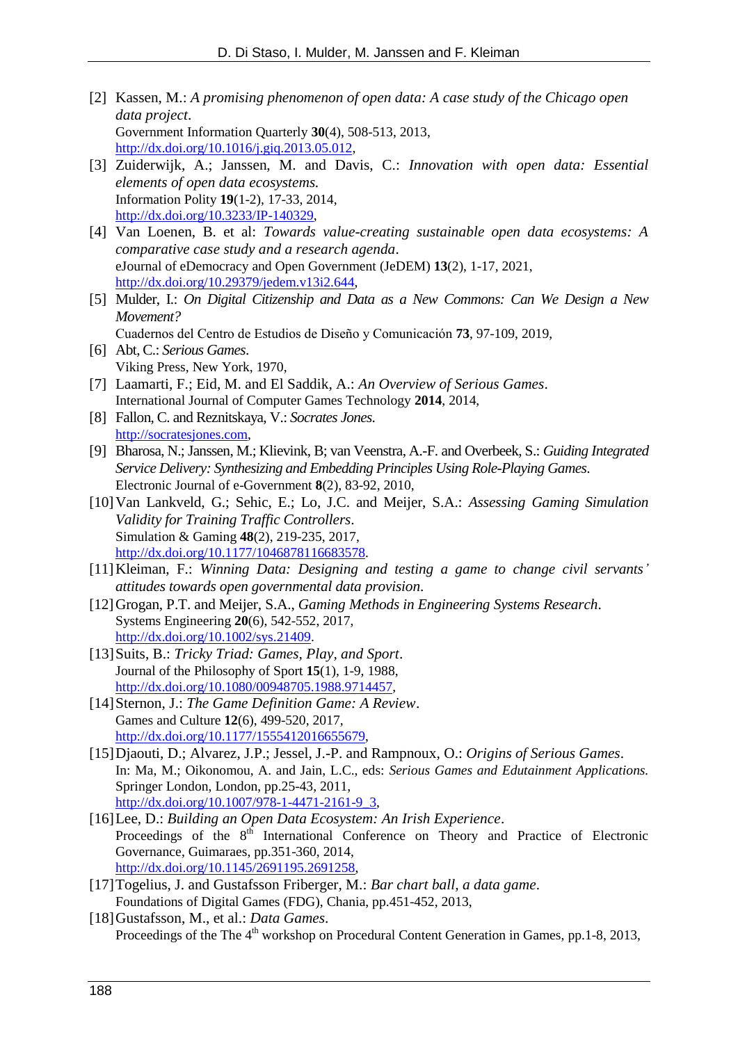- [2] Kassen, M.: *A promising phenomenon of open data: A case study of the Chicago open data project*. Government Information Quarterly **30**(4), 508-513, 2013, [http://dx.doi.org/10.1016/j.giq.2013.05.012,](http://dx.doi.org/10.1016/j.giq.2013.05.012)
- [3] Zuiderwijk, A.; Janssen, M. and Davis, C.: *Innovation with open data: Essential elements of open data ecosystems.* Information Polity **19**(1-2), 17-33, 2014, [http://dx.doi.org/10.3233/IP-140329,](http://dx.doi.org/10.3233/IP-140329)
- [4] Van Loenen, B. et al: *Towards value-creating sustainable open data ecosystems: A comparative case study and a research agenda*. eJournal of eDemocracy and Open Government (JeDEM) **13**(2), 1-17, 2021, [http://dx.doi.org/10.29379/jedem.v13i2.644,](http://dx.doi.org/10.29379/jedem.v13i2.644)
- [5] Mulder, I.: *On Digital Citizenship and Data as a New Commons: Can We Design a New Movement?* Cuadernos del Centro de Estudios de Diseño y Comunicación **73**, 97-109, 2019,
- [6] Abt, C.: *Serious Games*. Viking Press, New York, 1970,
- [7] Laamarti, F.; Eid, M. and El Saddik, A.: *An Overview of Serious Games*. International Journal of Computer Games Technology **2014**, 2014,
- [8] Fallon, C. and Reznitskaya, V.: *Socrates Jones*. [http://socratesjones.com,](http://socratesjones.com/)
- [9] Bharosa, N.; Janssen, M.; Klievink, B; van Veenstra, A.-F. and Overbeek, S.: *Guiding Integrated Service Delivery: Synthesizing and Embedding Principles Using Role-Playing Games*. Electronic Journal of e-Government **8**(2), 83-92, 2010,
- [10]Van Lankveld, G.; Sehic, E.; Lo, J.C. and Meijer, S.A.: *Assessing Gaming Simulation Validity for Training Traffic Controllers*. Simulation & Gaming **48**(2), 219-235, 2017, [http://dx.doi.org/10.1177/1046878116683578.](http://dx.doi.org/10.1177/1046878116683578)
- [11]Kleiman, F.: *Winning Data: Designing and testing a game to change civil servants' attitudes towards open governmental data provision*.
- [12]Grogan, P.T. and Meijer, S.A., *Gaming Methods in Engineering Systems Research*. Systems Engineering **20**(6), 542-552, 2017, [http://dx.doi.org/10.1002/sys.21409.](http://dx.doi.org/10.1002/sys.21409)
- [13]Suits, B.: *Tricky Triad: Games, Play, and Sport*. Journal of the Philosophy of Sport **15**(1), 1-9, 1988, [http://dx.doi.org/10.1080/00948705.1988.9714457,](http://dx.doi.org/10.1080/00948705.1988.9714457)
- [14]Sternon, J.: *The Game Definition Game: A Review*. Games and Culture **12**(6), 499-520, 2017, [http://dx.doi.org/10.1177/1555412016655679,](http://dx.doi.org/10.1177/1555412016655679)
- [15]Djaouti, D.; Alvarez, J.P.; Jessel, J.-P. and Rampnoux, O.: *Origins of Serious Games*. In: Ma, M.; Oikonomou, A. and Jain, L.C., eds: *Serious Games and Edutainment Applications.* Springer London, London, pp.25-43, 2011, [http://dx.doi.org/10.1007/978-1-4471-2161-9\\_3,](http://dx.doi.org/10.1007/978-1-4471-2161-9_3)
- [16]Lee, D.: *Building an Open Data Ecosystem: An Irish Experience*. Proceedings of the  $8<sup>th</sup>$  International Conference on Theory and Practice of Electronic Governance, Guimaraes, pp.351-360, 2014, [http://dx.doi.org/10.1145/2691195.2691258,](http://dx.doi.org/10.1145/2691195.2691258)
- [17]Togelius, J. and Gustafsson Friberger, M.: *Bar chart ball, a data game*. Foundations of Digital Games (FDG), Chania, pp.451-452, 2013,
- [18]Gustafsson, M., et al.: *Data Games*. Proceedings of the The 4<sup>th</sup> workshop on Procedural Content Generation in Games, pp.1-8, 2013,